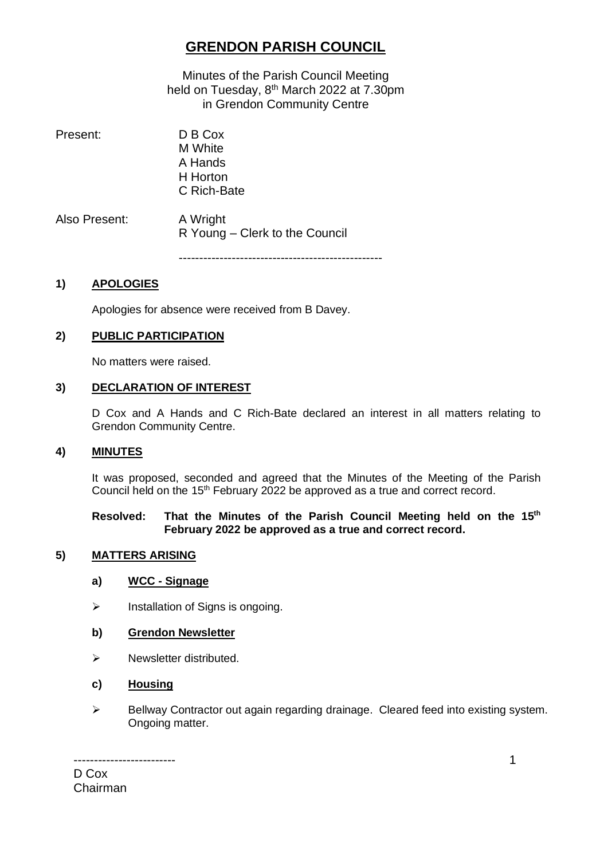# **GRENDON PARISH COUNCIL**

Minutes of the Parish Council Meeting held on Tuesday, 8<sup>th</sup> March 2022 at 7.30pm in Grendon Community Centre

Present: D B Cox M White A Hands H Horton C Rich-Bate Also Present: A Wright R Young – Clerk to the Council

--------------------------------------------------

### **1) APOLOGIES**

Apologies for absence were received from B Davey.

#### **2) PUBLIC PARTICIPATION**

No matters were raised.

#### **3) DECLARATION OF INTEREST**

D Cox and A Hands and C Rich-Bate declared an interest in all matters relating to Grendon Community Centre.

#### **4) MINUTES**

It was proposed, seconded and agreed that the Minutes of the Meeting of the Parish Council held on the 15<sup>th</sup> February 2022 be approved as a true and correct record.

#### **Resolved: That the Minutes of the Parish Council Meeting held on the 15 th February 2022 be approved as a true and correct record.**

#### **5) MATTERS ARISING**

#### **a) WCC - Signage**

➢ Installation of Signs is ongoing.

#### **b) Grendon Newsletter**

➢ Newsletter distributed.

#### **c) Housing**

➢ Bellway Contractor out again regarding drainage. Cleared feed into existing system. Ongoing matter.

------------------------- D Cox Chairman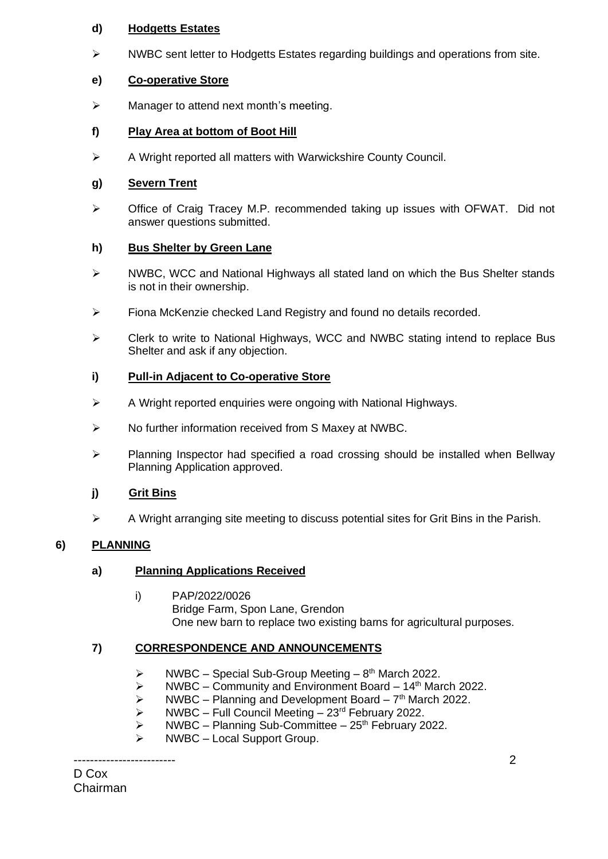# **d) Hodgetts Estates**

 $\triangleright$  NWBC sent letter to Hodgetts Estates regarding buildings and operations from site.

# **e) Co-operative Store**

 $\triangleright$  Manager to attend next month's meeting.

# **f) Play Area at bottom of Boot Hill**

➢ A Wright reported all matters with Warwickshire County Council.

# **g) Severn Trent**

➢ Office of Craig Tracey M.P. recommended taking up issues with OFWAT. Did not answer questions submitted.

# **h) Bus Shelter by Green Lane**

- ➢ NWBC, WCC and National Highways all stated land on which the Bus Shelter stands is not in their ownership.
- $\triangleright$  Fiona McKenzie checked Land Registry and found no details recorded.
- ➢ Clerk to write to National Highways, WCC and NWBC stating intend to replace Bus Shelter and ask if any objection.

# **i) Pull-in Adjacent to Co-operative Store**

- ➢ A Wright reported enquiries were ongoing with National Highways.
- ➢ No further information received from S Maxey at NWBC.
- ➢ Planning Inspector had specified a road crossing should be installed when Bellway Planning Application approved.

# **j) Grit Bins**

➢ A Wright arranging site meeting to discuss potential sites for Grit Bins in the Parish.

# **6) PLANNING**

# **a) Planning Applications Received**

i) PAP/2022/0026 Bridge Farm, Spon Lane, Grendon One new barn to replace two existing barns for agricultural purposes.

# **7) CORRESPONDENCE AND ANNOUNCEMENTS**

- $\triangleright$  NWBC Special Sub-Group Meeting 8<sup>th</sup> March 2022.
- $\triangleright$  NWBC Community and Environment Board 14<sup>th</sup> March 2022.
- $\triangleright$  NWBC Planning and Development Board  $7<sup>th</sup>$  March 2022.
- ➢ NWBC Full Council Meeting 23rd February 2022.
- $\triangleright$  NWBC Planning Sub-Committee 25<sup>th</sup> February 2022.
- $\triangleright$  NWBC Local Support Group.

-------------------------

D Cox Chairman